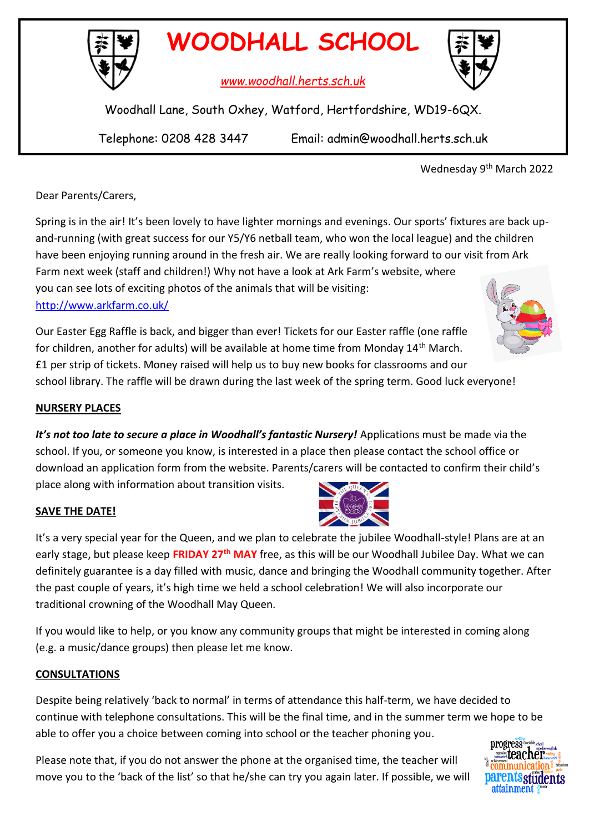

*www.woodhall.herts.sch.uk*

Woodhall Lane, South Oxhey, Watford, Hertfordshire, WD19-6QX.

Telephone: 0208 428 3447 Email: admin@woodhall.herts.sch.uk

Wednesday 9th March 2022

Dear Parents/Carers,

Spring is in the air! It's been lovely to have lighter mornings and evenings. Our sports' fixtures are back upand-running (with great success for our Y5/Y6 netball team, who won the local league) and the children have been enjoying running around in the fresh air. We are really looking forward to our visit from Ark Farm next week (staff and children!) Why not have a look at Ark Farm's website, where you can see lots of exciting photos of the animals that will be visiting: <http://www.arkfarm.co.uk/>

Our Easter Egg Raffle is back, and bigger than ever! Tickets for our Easter raffle (one raffle for children, another for adults) will be available at home time from Monday 14th March. £1 per strip of tickets. Money raised will help us to buy new books for classrooms and our school library. The raffle will be drawn during the last week of the spring term. Good luck everyone!

# **NURSERY PLACES**

*It's not too late to secure a place in Woodhall's fantastic Nursery!* Applications must be made via the school. If you, or someone you know, is interested in a place then please contact the school office or download an application form from the website. Parents/carers will be contacted to confirm their child's place along with information about transition visits.

#### **SAVE THE DATE!**

It's a very special year for the Queen, and we plan to celebrate the jubilee Woodhall-style! Plans are at an early stage, but please keep **FRIDAY 27th MAY** free, as this will be our Woodhall Jubilee Day. What we can definitely guarantee is a day filled with music, dance and bringing the Woodhall community together. After the past couple of years, it's high time we held a school celebration! We will also incorporate our traditional crowning of the Woodhall May Queen.

If you would like to help, or you know any community groups that might be interested in coming along (e.g. a music/dance groups) then please let me know.

#### **CONSULTATIONS**

Despite being relatively 'back to normal' in terms of attendance this half-term, we have decided to continue with telephone consultations. This will be the final time, and in the summer term we hope to be able to offer you a choice between coming into school or the teacher phoning you.

Please note that, if you do not answer the phone at the organised time, the teacher will move you to the 'back of the list' so that he/she can try you again later. If possible, we will









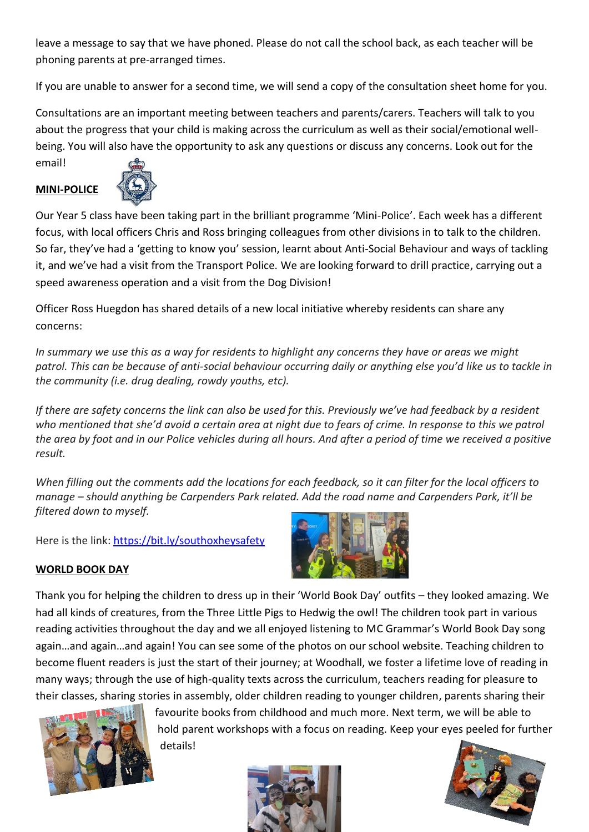leave a message to say that we have phoned. Please do not call the school back, as each teacher will be phoning parents at pre-arranged times.

If you are unable to answer for a second time, we will send a copy of the consultation sheet home for you.

Consultations are an important meeting between teachers and parents/carers. Teachers will talk to you about the progress that your child is making across the curriculum as well as their social/emotional wellbeing. You will also have the opportunity to ask any questions or discuss any concerns. Look out for the email!

## **MINI-POLICE**



Our Year 5 class have been taking part in the brilliant programme 'Mini-Police'. Each week has a different focus, with local officers Chris and Ross bringing colleagues from other divisions in to talk to the children. So far, they've had a 'getting to know you' session, learnt about Anti-Social Behaviour and ways of tackling it, and we've had a visit from the Transport Police. We are looking forward to drill practice, carrying out a speed awareness operation and a visit from the Dog Division!

Officer Ross Huegdon has shared details of a new local initiative whereby residents can share any concerns:

*In summary we use this as a way for residents to highlight any concerns they have or areas we might patrol. This can be because of anti-social behaviour occurring daily or anything else you'd like us to tackle in the community (i.e. drug dealing, rowdy youths, etc).*

*If there are safety concerns the link can also be used for this. Previously we've had feedback by a resident who mentioned that she'd avoid a certain area at night due to fears of crime. In response to this we patrol the area by foot and in our Police vehicles during all hours. And after a period of time we received a positive result.*

*When filling out the comments add the locations for each feedback, so it can filter for the local officers to manage – should anything be Carpenders Park related. Add the road name and Carpenders Park, it'll be filtered down to myself.*

Here is the link: [https://bit.ly/southoxheysafety](https://gbr01.safelinks.protection.outlook.com/?url=https%3A%2F%2Fbit.ly%2Fsouthoxheysafety&data=04%7C01%7CRoss.Huegdon%40herts.police.uk%7Cae7367662457473eae2a08d9fd24e2ac%7Ca3c59d1bb8f142999d6a39ad8f570422%7C0%7C0%7C637819157124902084%7CUnknown%7CTWFpbGZsb3d8eyJWIjoiMC4wLjAwMDAiLCJQIjoiV2luMzIiLCJBTiI6Ik1haWwiLCJXVCI6Mn0%3D%7C3000&sdata=wtJqIgNMTVhBatGgis%2FEcVl%2BmU7bvPgwdUuv%2F4Icd0A%3D&reserved=0)



#### **WORLD BOOK DAY**

Thank you for helping the children to dress up in their 'World Book Day' outfits – they looked amazing. We had all kinds of creatures, from the Three Little Pigs to Hedwig the owl! The children took part in various reading activities throughout the day and we all enjoyed listening to MC Grammar's World Book Day song again…and again…and again! You can see some of the photos on our school website. Teaching children to become fluent readers is just the start of their journey; at Woodhall, we foster a lifetime love of reading in many ways; through the use of high-quality texts across the curriculum, teachers reading for pleasure to their classes, sharing stories in assembly, older children reading to younger children, parents sharing their



favourite books from childhood and much more. Next term, we will be able to hold parent workshops with a focus on reading. Keep your eyes peeled for further details!



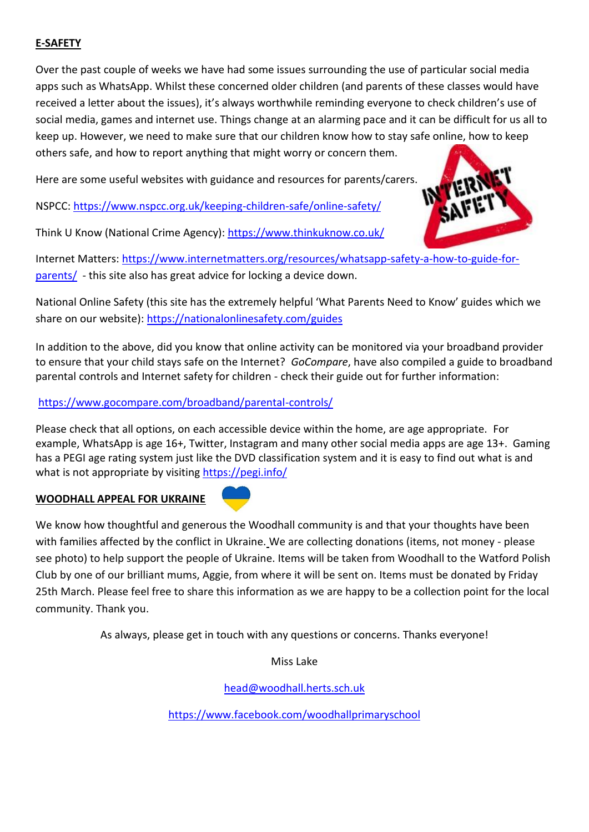# **E-SAFETY**

Over the past couple of weeks we have had some issues surrounding the use of particular social media apps such as WhatsApp. Whilst these concerned older children (and parents of these classes would have received a letter about the issues), it's always worthwhile reminding everyone to check children's use of social media, games and internet use. Things change at an alarming pace and it can be difficult for us all to keep up. However, we need to make sure that our children know how to stay safe online, how to keep others safe, and how to report anything that might worry or concern them.

Here are some useful websites with guidance and resources for parents/carers.

NSPCC:<https://www.nspcc.org.uk/keeping-children-safe/online-safety/>

Think U Know (National Crime Agency):<https://www.thinkuknow.co.uk/>



Internet Matters: [https://www.internetmatters.org/resources/whatsapp-safety-a-how-to-guide-for](https://www.internetmatters.org/resources/whatsapp-safety-a-how-to-guide-for-parents/)[parents/](https://www.internetmatters.org/resources/whatsapp-safety-a-how-to-guide-for-parents/) - this site also has great advice for locking a device down.

National Online Safety (this site has the extremely helpful 'What Parents Need to Know' guides which we share on our website):<https://nationalonlinesafety.com/guides>

In addition to the above, did you know that online activity can be monitored via your broadband provider to ensure that your child stays safe on the Internet? *GoCompare*, have also compiled a guide to broadband parental controls and Internet safety for children - check their guide out for further information:

# <https://www.gocompare.com/broadband/parental-controls/>

Please check that all options, on each accessible device within the home, are age appropriate. For example, WhatsApp is age 16+, Twitter, Instagram and many other social media apps are age 13+. Gaming has a PEGI age rating system just like the DVD classification system and it is easy to find out what is and what is not appropriate by visiting <https://pegi.info/>

#### **WOODHALL APPEAL FOR UKRAINE**



We know how thoughtful and generous the Woodhall community is and that your thoughts have been with families affected by the conflict in Ukraine. We are collecting donations (items, not money - please see photo) to help support the people of Ukraine. Items will be taken from Woodhall to the Watford Polish Club by one of our brilliant mums, Aggie, from where it will be sent on. Items must be donated by Friday 25th March. Please feel free to share this information as we are happy to be a collection point for the local community. Thank you.

As always, please get in touch with any questions or concerns. Thanks everyone!

Miss Lake

[head@woodhall.herts.sch.uk](mailto:head@woodhall.herts.sch.uk)

<https://www.facebook.com/woodhallprimaryschool>